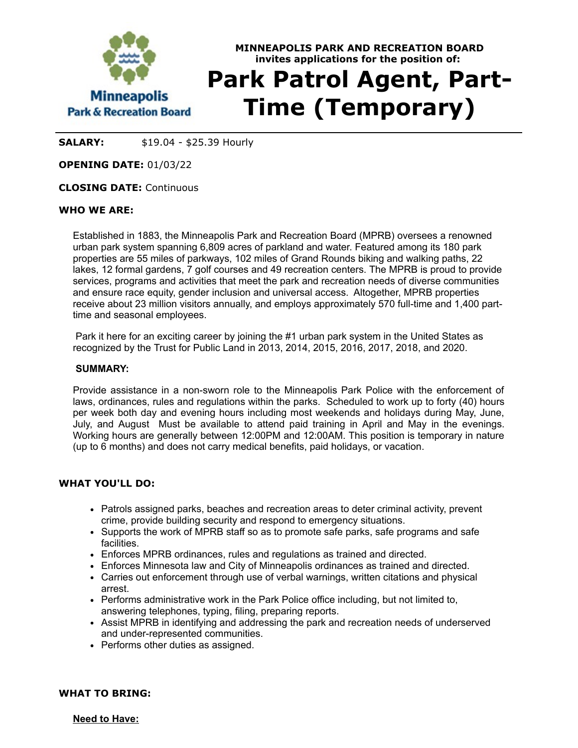

# **MINNEAPOLIS PARK AND RECREATION BOARD invites applications for the position of: Park Patrol Agent, Part-Time (Temporary)**

**SALARY:** \$19.04 - \$25.39 Hourly

**OPENING DATE:** 01/03/22

## **CLOSING DATE:** Continuous

## **WHO WE ARE:**

Established in 1883, the Minneapolis Park and Recreation Board (MPRB) oversees a renowned urban park system spanning 6,809 acres of parkland and water. Featured among its 180 park properties are 55 miles of parkways, 102 miles of Grand Rounds biking and walking paths, 22 lakes, 12 formal gardens, 7 golf courses and 49 recreation centers. The MPRB is proud to provide services, programs and activities that meet the park and recreation needs of diverse communities and ensure race equity, gender inclusion and universal access. Altogether, MPRB properties receive about 23 million visitors annually, and employs approximately 570 full-time and 1,400 parttime and seasonal employees.

Park it here for an exciting career by joining the #1 urban park system in the United States as recognized by the Trust for Public Land in 2013, 2014, 2015, 2016, 2017, 2018, and 2020.

#### **SUMMARY:**

Provide assistance in a non-sworn role to the Minneapolis Park Police with the enforcement of laws, ordinances, rules and regulations within the parks. Scheduled to work up to forty (40) hours per week both day and evening hours including most weekends and holidays during May, June, July, and August Must be available to attend paid training in April and May in the evenings. Working hours are generally between 12:00PM and 12:00AM. This position is temporary in nature (up to 6 months) and does not carry medical benefits, paid holidays, or vacation.

## **WHAT YOU'LL DO:**

- Patrols assigned parks, beaches and recreation areas to deter criminal activity, prevent crime, provide building security and respond to emergency situations.
- Supports the work of MPRB staff so as to promote safe parks, safe programs and safe facilities.
- Enforces MPRB ordinances, rules and regulations as trained and directed.
- Enforces Minnesota law and City of Minneapolis ordinances as trained and directed.
- Carries out enforcement through use of verbal warnings, written citations and physical arrest.
- Performs administrative work in the Park Police office including, but not limited to, answering telephones, typing, filing, preparing reports.
- Assist MPRB in identifying and addressing the park and recreation needs of underserved and under-represented communities.
- Performs other duties as assigned.

## **WHAT TO BRING:**

**Need to Have:**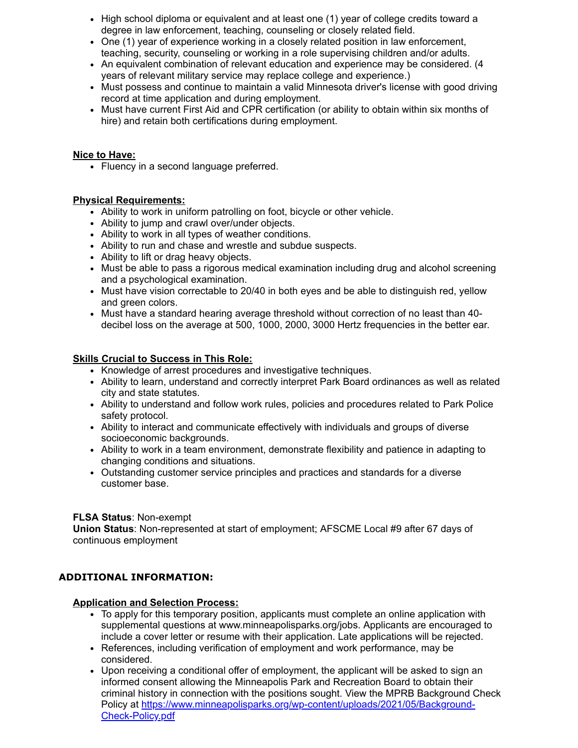- $\bullet~$  High school diploma or equivalent and at least one (1) year of college credits toward a degree in law enforcement, teaching, counseling or closely related field.
- One (1) year of experience working in a closely related position in law enforcement, teaching, security, counseling or working in a role supervising children and/or adults.
- An equivalent combination of relevant education and experience may be considered. (4 years of relevant military service may replace college and experience.)
- Must possess and continue to maintain a valid Minnesota driver's license with good driving record at time application and during employment.
- Must have current First Aid and CPR certification (or ability to obtain within six months of hire) and retain both certifications during employment.

## **Nice to Have:**

• Fluency in a second language preferred.

## **Physical Requirements:**

- Ability to work in uniform patrolling on foot, bicycle or other vehicle.
- Ability to jump and crawl over/under objects.
- Ability to work in all types of weather conditions.
- Ability to run and chase and wrestle and subdue suspects.
- Ability to lift or drag heavy objects.
- Must be able to pass a rigorous medical examination including drug and alcohol screening and a psychological examination.
- Must have vision correctable to 20/40 in both eyes and be able to distinguish red, yellow and green colors.
- Must have a standard hearing average threshold without correction of no least than 40decibel loss on the average at 500, 1000, 2000, 3000 Hertz frequencies in the better ear.

## **Skills Crucial to Success in This Role:**

- Knowledge of arrest procedures and investigative techniques.
- Ability to learn, understand and correctly interpret Park Board ordinances as well as related city and state statutes.
- Ability to understand and follow work rules, policies and procedures related to Park Police safety protocol.
- Ability to interact and communicate effectively with individuals and groups of diverse socioeconomic backgrounds.
- Ability to work in a team environment, demonstrate flexibility and patience in adapting to changing conditions and situations.
- Outstanding customer service principles and practices and standards for a diverse customer base.

## **FLSA Status**: Non-exempt

**Union Status**: Non-represented at start of employment; AFSCME Local #9 after 67 days of continuous employment

# **ADDITIONAL INFORMATION:**

## **Application and Selection Process:**

- To apply for this temporary position, applicants must complete an online application with supplemental questions at www.minneapolisparks.org/jobs. Applicants are encouraged to include a cover letter or resume with their application. Late applications will be rejected.
- References, including verification of employment and work performance, may be considered.
- Upon receiving a conditional offer of employment, the applicant will be asked to sign an informed consent allowing the Minneapolis Park and Recreation Board to obtain their criminal history in connection with the positions sought. View the MPRB Background Check Policy at [https://www.minneapolisparks.org/wp-content/uploads/2021/05/Background-](https://gcc02.safelinks.protection.outlook.com/?url=https%3A%2F%2Fwww.minneapolisparks.org%2Fwp-content%2Fuploads%2F2021%2F05%2FBackground-Check-Policy.pdf&data=04%7C01%7C%7Cf2ad0c4bdc484ea42e7208d910b17530%7C64978fab645c49ceb833754623612d22%7C0%7C0%7C637559176616344615%7CUnknown%7CTWFpbGZsb3d8eyJWIjoiMC4wLjAwMDAiLCJQIjoiV2luMzIiLCJBTiI6Ik1haWwiLCJXVCI6Mn0%3D%7C1000&sdata=O4Pa1eIIiAw4Th%2BM9QnqyC9q5nhQC9COgaJ4FdWDPv8%3D&reserved=0)Check-Policy.pdf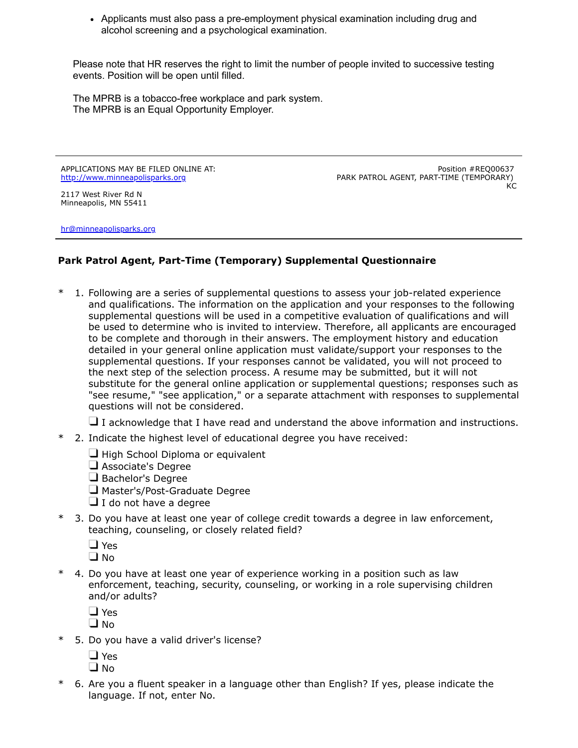Applicants must also pass a pre-employment physical examination including drug and alcohol screening and a psychological examination.

Please note that HR reserves the right to limit the number of people invited to successive testing events. Position will be open until filled.

The MPRB is a tobacco-free workplace and park system. The MPRB is an Equal Opportunity Employer.

APPLICATIONS MAY BE FILED ONLINE AT: [http://www.minneapolisparks.org](http://www.minneapolisparks.org/)

Position #REQ00637 PARK PATROL AGENT, PART-TIME (TEMPORARY)  $K<sub>C</sub>$ 

2117 West River Rd N Minneapolis, MN 55411

[hr@minneapolisparks.org](mailto:hr@minneapolisparks.org)

# **Park Patrol Agent, Part-Time (Temporary) Supplemental Questionnaire**

1. Following are a series of supplemental questions to assess your job-related experience and qualifications. The information on the application and your responses to the following supplemental questions will be used in a competitive evaluation of qualifications and will be used to determine who is invited to interview. Therefore, all applicants are encouraged to be complete and thorough in their answers. The employment history and education detailed in your general online application must validate/support your responses to the supplemental questions. If your responses cannot be validated, you will not proceed to the next step of the selection process. A resume may be submitted, but it will not substitute for the general online application or supplemental questions; responses such as "see resume," "see application," or a separate attachment with responses to supplemental questions will not be considered.

 $\Box$  I acknowledge that I have read and understand the above information and instructions.

- \* 2. Indicate the highest level of educational degree you have received:
	- $\Box$  High School Diploma or equivalent
	- Associate's Degree
	- Bachelor's Degree
	- Master's/Post-Graduate Degree
	- $\Box$  I do not have a degree
- \* 3. Do you have at least one year of college credit towards a degree in law enforcement, teaching, counseling, or closely related field?
	- □ Yes
	- $\Box$  No
- \* 4. Do you have at least one year of experience working in a position such as law enforcement, teaching, security, counseling, or working in a role supervising children and/or adults?

□ Yes

- **O** No
- \* 5. Do you have a valid driver's license?
	- □ Yes
	- $\Box$  No
- \* 6. Are you a fluent speaker in a language other than English? If yes, please indicate the language. If not, enter No.